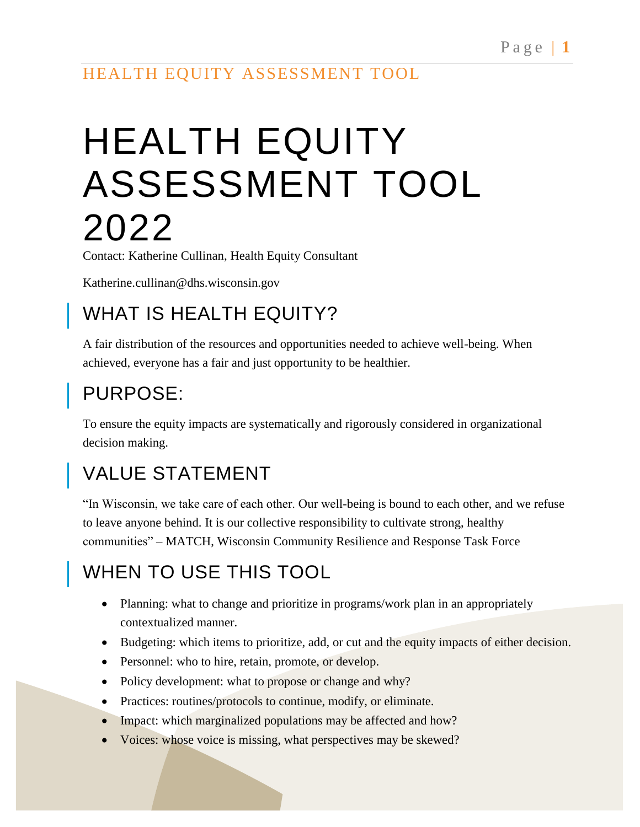# HEALTH EQUITY ASSESSMENT TOOL 2022

Contact: Katherine Cullinan, Health Equity Consultant

Katherine.cullinan@dhs.wisconsin.gov

## WHAT IS HEALTH EQUITY?

A fair distribution of the resources and opportunities needed to achieve well-being. When achieved, everyone has a fair and just opportunity to be healthier.

# PURPOSE:

To ensure the equity impacts are systematically and rigorously considered in organizational decision making.

# VALUE STATEMENT

"In Wisconsin, we take care of each other. Our well-being is bound to each other, and we refuse to leave anyone behind. It is our collective responsibility to cultivate strong, healthy communities" – MATCH, Wisconsin Community Resilience and Response Task Force

# WHEN TO USE THIS TOOL

- Planning: what to change and prioritize in programs/work plan in an appropriately contextualized manner.
- Budgeting: which items to prioritize, add, or cut and the equity impacts of either decision.
- Personnel: who to hire, retain, promote, or develop.
- Policy development: what to propose or change and why?
- Practices: routines/protocols to continue, modify, or eliminate.
- Impact: which marginalized populations may be affected and how?
- Voices: whose voice is missing, what perspectives may be skewed?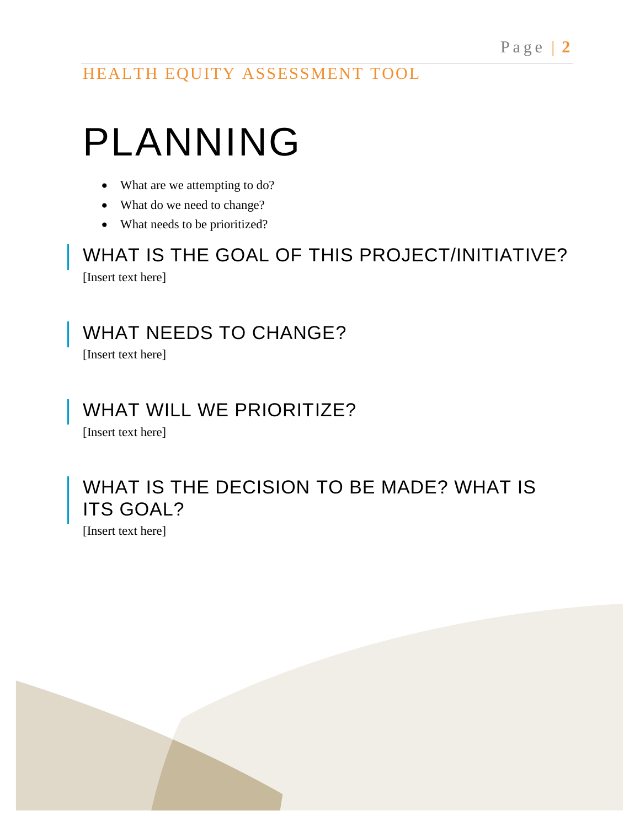# PLANNING

- What are we attempting to do?
- What do we need to change?
- What needs to be prioritized?

WHAT IS THE GOAL OF THIS PROJECT/INITIATIVE? [Insert text here]

WHAT NEEDS TO CHANGE?

[Insert text here]

#### WHAT WILL WE PRIORITIZE?

[Insert text here]

#### WHAT IS THE DECISION TO BE MADE? WHAT IS **ITS GOAL?**

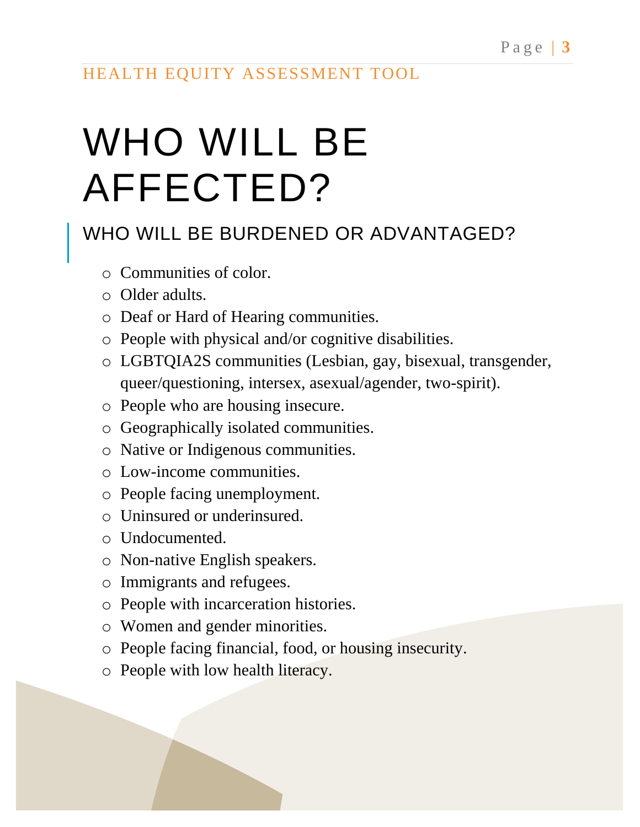# WHO WILL BE AFFECTED?

### WHO WILL BE BURDENED OR ADVANTAGED?

- o Communities of color.
- o Older adults.
- o Deaf or Hard of Hearing communities.
- o People with physical and/or cognitive disabilities.
- o LGBTQIA2S communities (Lesbian, gay, bisexual, transgender, queer/questioning, intersex, asexual/agender, two-spirit).
- o People who are housing insecure.
- o Geographically isolated communities.
- o Native or Indigenous communities.
- o Low-income communities.
- o People facing unemployment.
- o Uninsured or underinsured.
- o Undocumented.
- o Non-native English speakers.
- o Immigrants and refugees.
- o People with incarceration histories.
- o Women and gender minorities.
- o People facing financial, food, or housing insecurity.
- o People with low health literacy.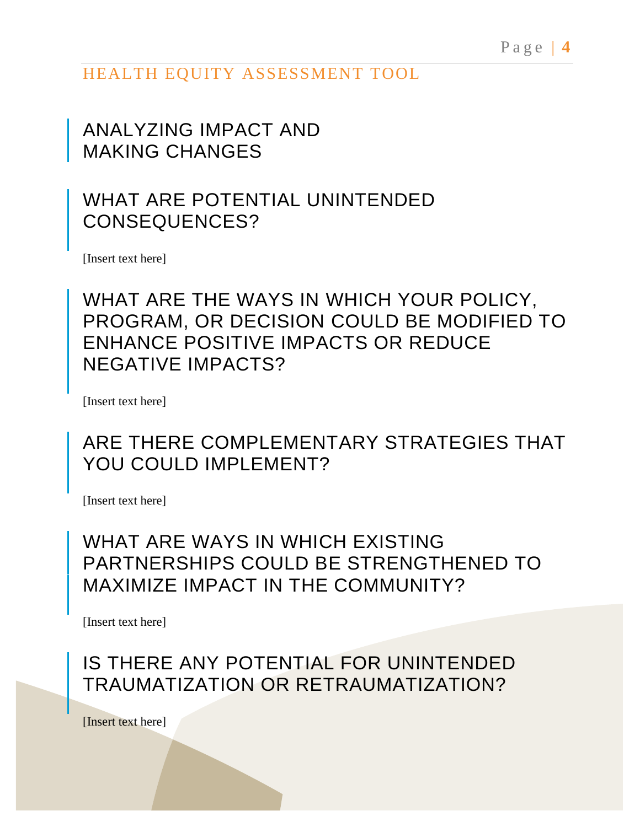#### ANALYZING IMPACT AND MAKING CHANGES

#### WHAT ARE POTENTIAL UNINTENDED CONSEQUENCES?

[Insert text here]

WHAT ARE THE WAYS IN WHICH YOUR POLICY, PROGRAM, OR DECISION COULD BE MODIFIED TO ENHANCE POSITIVE IMPACTS OR REDUCE NEGATIVE IMPACTS?

[Insert text here]

#### ARE THERE COMPLEMENTARY STRATEGIES THAT YOU COULD IMPLEMENT?

[Insert text here]

#### WHAT ARE WAYS IN WHICH EXISTING PARTNERSHIPS COULD BE STRENGTHENED TO MAXIMIZE IMPACT IN THE COMMUNITY?

[Insert text here]

IS THERE ANY POTENTIAL FOR UNINTENDED TRAUMATIZATION OR RETRAUMATIZATION?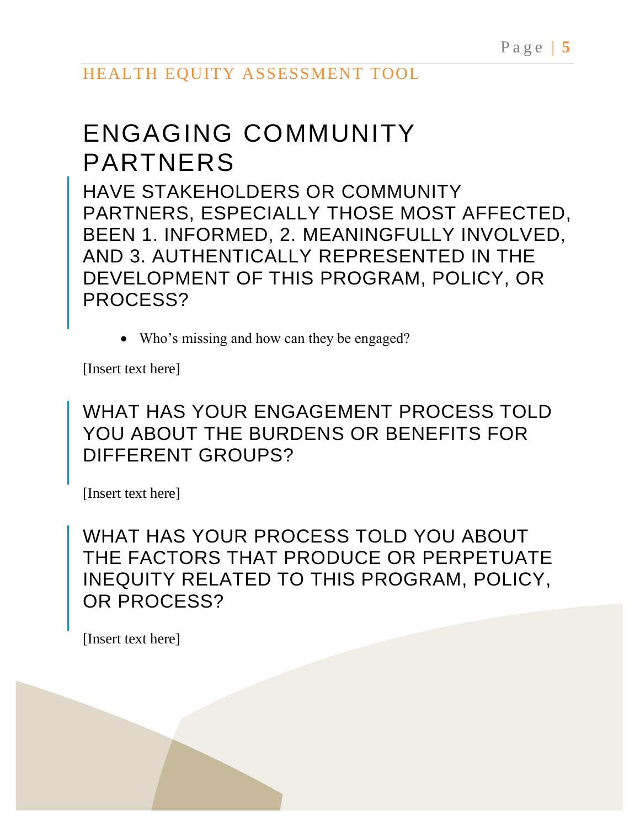# ENGAGING COMMUNITY PARTNERS

HAVE STAKEHOLDERS OR COMMUNITY PARTNERS, ESPECIALLY THOSE MOST AFFECTED, BEEN 1. INFORMED, 2. MEANINGFULLY INVOLVED, AND 3. AUTHENTICALLY REPRESENTED IN THE DEVELOPMENT OF THIS PROGRAM, POLICY, OR PROCESS?

• Who's missing and how can they be engaged?

[Insert text here]

WHAT HAS YOUR ENGAGEMENT PROCESS TOLD YOU ABOUT THE BURDENS OR BENEFITS FOR DIFFERENT GROUPS?

[Insert text here]

WHAT HAS YOUR PROCESS TOLD YOU ABOUT THE FACTORS THAT PRODUCE OR PERPETUATE INEQUITY RELATED TO THIS PROGRAM, POLICY, OR PROCESS?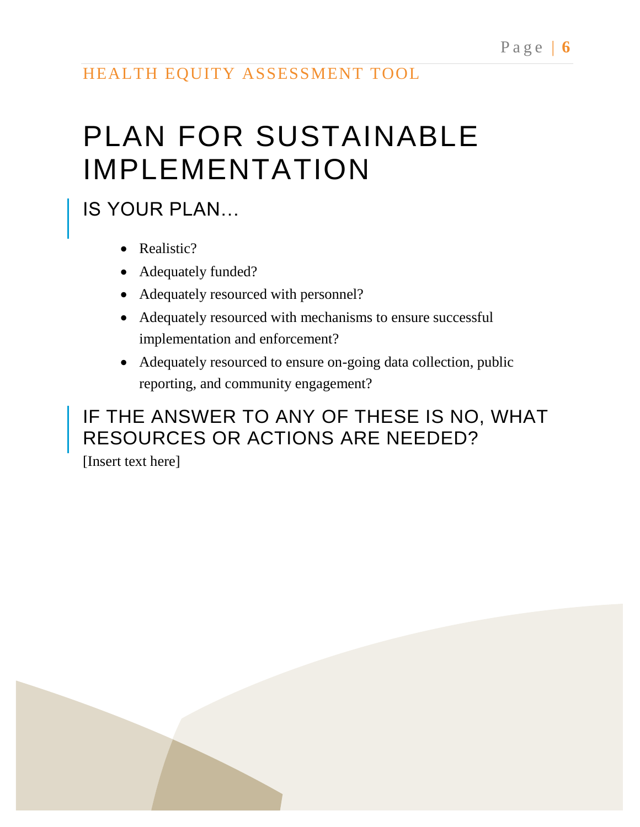# PLAN FOR SUSTAINABLE IMPLEMENTATION

# IS YOUR PLAN…

- Realistic?
- Adequately funded?
- Adequately resourced with personnel?
- Adequately resourced with mechanisms to ensure successful implementation and enforcement?
- Adequately resourced to ensure on-going data collection, public reporting, and community engagement?

## IF THE ANSWER TO ANY OF THESE IS NO, WHAT RESOURCES OR ACTIONS ARE NEEDED?

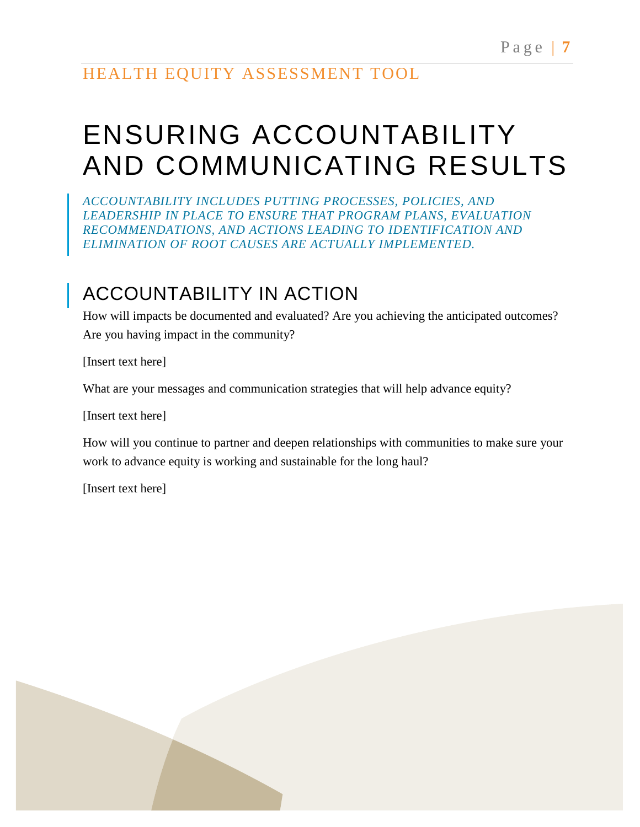# ENSURING ACCOUNTABILITY AND COMMUNICATING RESULTS

*ACCOUNTABILITY INCLUDES PUTTING PROCESSES, POLICIES, AND LEADERSHIP IN PLACE TO ENSURE THAT PROGRAM PLANS, EVALUATION RECOMMENDATIONS, AND ACTIONS LEADING TO IDENTIFICATION AND ELIMINATION OF ROOT CAUSES ARE ACTUALLY IMPLEMENTED.*

## ACCOUNTABILITY IN ACTION

How will impacts be documented and evaluated? Are you achieving the anticipated outcomes? Are you having impact in the community?

[Insert text here]

What are your messages and communication strategies that will help advance equity?

[Insert text here]

How will you continue to partner and deepen relationships with communities to make sure your work to advance equity is working and sustainable for the long haul?